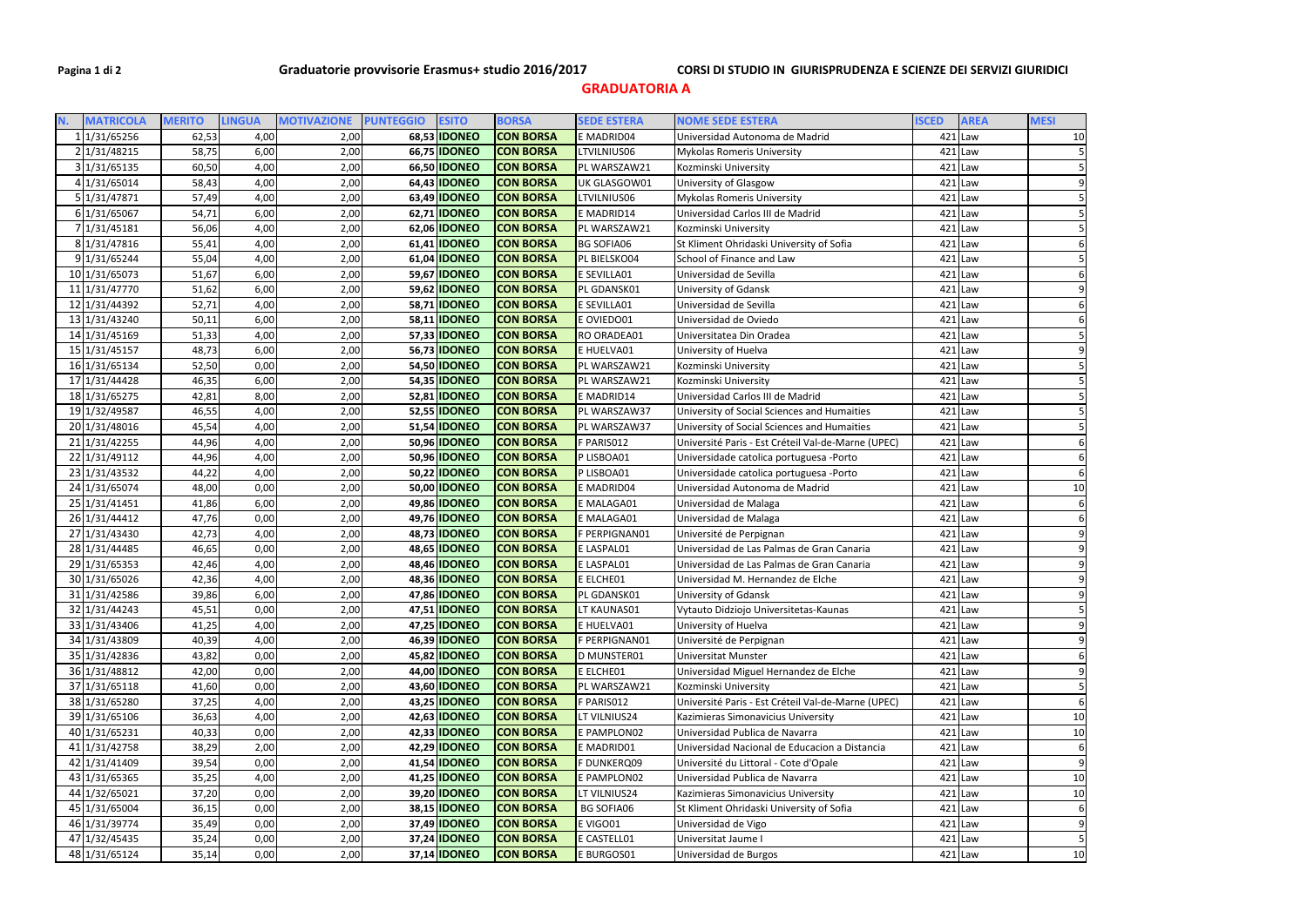**GRADUATORIA A** 

| N. | <b>MATRICOLA</b>               | <b>MERITO</b>  | <b>LINGUA</b> | <b>MOTIVAZIONE</b> | <b>ESITO</b><br><b>PUNTEGGIO</b>           | <b>BORSA</b>                         | <b>SEDE ESTERA</b>       | <b>NOME SEDE ESTERA</b>                            | <b>ISCED</b> | <b>AREA</b>            | <b>MESI</b>    |
|----|--------------------------------|----------------|---------------|--------------------|--------------------------------------------|--------------------------------------|--------------------------|----------------------------------------------------|--------------|------------------------|----------------|
|    | 1 1/31/65256                   | 62,53          | 4,00          | 2,00               | 68,53 IDONEO                               | <b>CON BORSA</b>                     | E MADRID04               | Universidad Autonoma de Madrid                     |              | $421$ Law              | $10\,$         |
|    | 2 1/31/48215                   | 58,75          | 6,00          | 2,00               | 66,75 <b>IDONEO</b>                        | <b>CON BORSA</b>                     | LTVILNIUS06              | <b>Mykolas Romeris University</b>                  |              | $421$  Law             |                |
|    | 3 1/31/65135                   | 60,50          | 4,00          | 2,00               | 66,50 <b>IDONEO</b>                        | <b>CON BORSA</b>                     | PL WARSZAW21             | Kozminski University                               |              | $421$ Law              |                |
|    | 4 1/31/65014                   | 58,43          | 4,00          | 2,00               | 64,43 <b>IDONEO</b>                        | <b>CON BORSA</b>                     | UK GLASGOW01             | University of Glasgow                              |              | $421$  Law             |                |
|    | 5 1/31/47871                   | 57,49          | 4,00          | 2,00               | 63,49 <b>IDONEO</b>                        | <b>CON BORSA</b>                     | LTVILNIUS06              | <b>Mykolas Romeris University</b>                  |              | $421$ Law              |                |
|    | 6 1/31/65067                   | 54,71          | 6,00          | 2,00               | 62,71 <b>IDONEO</b>                        | <b>CON BORSA</b>                     | E MADRID14               | Universidad Carlos III de Madrid                   |              | $421$ Law              |                |
|    | 7 1/31/45181                   | 56,06          | 4,00          | 2,00               | 62,06 IDONEO                               | <b>CON BORSA</b>                     | PL WARSZAW21             | Kozminski University                               |              | $421$ Law              |                |
|    | 8 1/31/47816                   | 55,41          | 4,00          | 2,00               | 61,41 <b>IDONEO</b>                        | <b>CON BORSA</b>                     | <b>BG SOFIA06</b>        | St Kliment Ohridaski University of Sofia           |              | $421$ Law              |                |
|    | 9 1/31/65244                   | 55,04          | 4,00          | 2,00               | 61,04 <b>IDONEO</b>                        | <b>CON BORSA</b>                     | PL BIELSKO04             | School of Finance and Law                          |              | $421$ Law              |                |
|    | 10 1/31/65073                  | 51,67          | 6,00          | 2,00               | 59,67 <b>IDONEO</b>                        | <b>CON BORSA</b>                     | E SEVILLA01              | Universidad de Sevilla                             |              | $421$ Law              |                |
|    | 11 1/31/47770                  | 51,62          | 6,00          | 2,00               | 59,62 <b>IDONEO</b>                        | <b>CON BORSA</b>                     | PL GDANSK01              | University of Gdansk                               |              | $421$ Law              |                |
|    | 12 1/31/44392                  | 52,71          | 4,00          | 2,00               | 58,71 <b>IDONEO</b>                        | <b>CON BORSA</b>                     | E SEVILLA01              | Universidad de Sevilla                             |              | $421$ Law              |                |
|    | 13 1/31/43240                  | 50,11          | 6,00          | 2,00               | 58,11 <b>IDONEO</b>                        | <b>CON BORSA</b>                     | E OVIEDO01               | Universidad de Oviedo                              |              | $421$ Law              |                |
|    | 14 1/31/45169                  | 51,33          | 4,00          | 2,00               | 57,33 IDONEO                               | <b>CON BORSA</b>                     | RO ORADEA01              | Universitatea Din Oradea                           |              | $421$ Law              |                |
|    | 15 1/31/45157                  | 48,73          | 6,00          | 2,00               | 56,73 <b>IDONEO</b>                        | <b>CON BORSA</b>                     | E HUELVA01               | University of Huelva                               |              | $421$ Law              |                |
|    | 16 1/31/65134                  | 52,50          | 0,00          | 2,00               | 54,50 <b>IDONEO</b>                        | <b>CON BORSA</b>                     | PL WARSZAW21             | Kozminski University                               |              | $421$ Law              |                |
|    | 17 1/31/44428                  | 46,35          | 6,00          | 2,00               | 54,35 <b>IDONEO</b>                        | <b>CON BORSA</b>                     | PL WARSZAW21             | Kozminski University                               |              | $421$ Law              |                |
|    | 18 1/31/65275                  | 42,81          | 8,00          | 2,00               | 52,81 <b>IDONEO</b>                        | <b>CON BORSA</b>                     | E MADRID14               | Universidad Carlos III de Madrid                   |              | $421$ Law              |                |
|    | 19 1/32/49587                  | 46,55          | 4,00          | 2,00               | 52,55 <b>IDONEO</b>                        | <b>CON BORSA</b>                     | PL WARSZAW37             | University of Social Sciences and Humaities        |              | $421$ Law              |                |
|    | 20 1/31/48016                  | 45,54          | 4,00          | 2,00               | 51,54 <b>IDONEO</b>                        | <b>CON BORSA</b>                     | PL WARSZAW37             | University of Social Sciences and Humaities        |              | $421$ Law              |                |
|    | 21 1/31/42255                  | 44,96          | 4,00          | 2,00               | 50,96 <b>IDONEO</b>                        | <b>CON BORSA</b>                     | F PARIS012               | Université Paris - Est Créteil Val-de-Marne (UPEC) |              | $421$ Law              |                |
|    | 22 1/31/49112                  | 44,96          | 4,00          | 2,00               | 50,96 <b>IDONEO</b>                        | <b>CON BORSA</b>                     | P LISBOA01               | Universidade catolica portuguesa -Porto            |              | $421$ Law              |                |
|    | 23 1/31/43532                  | 44,22          | 4,00          | 2,00               | 50,22 <b>IDONEO</b>                        | <b>CON BORSA</b>                     | P LISBOA01               | Universidade catolica portuguesa -Porto            |              | $421$ Law              | 6              |
|    | 24 1/31/65074<br>25 1/31/41451 | 48,00<br>41,86 | 0,00<br>6,00  | 2,00<br>2,00       | 50,00 <b>IDONEO</b><br>49,86 <b>IDONEO</b> | <b>CON BORSA</b><br><b>CON BORSA</b> | E MADRID04<br>E MALAGA01 | Universidad Autonoma de Madrid                     |              | $421$ Law<br>$421$ Law | 10<br>6        |
|    | 26 1/31/44412                  | 47,76          | 0,00          | 2,00               | 49,76 <b>IDONEO</b>                        | <b>CON BORSA</b>                     | E MALAGA01               | Universidad de Malaga<br>Universidad de Malaga     |              | $421$ Law              |                |
|    | 27 1/31/43430                  | 42,73          | 4,00          | 2,00               | 48,73 IDONEO                               | <b>CON BORSA</b>                     | F PERPIGNAN01            | Université de Perpignan                            |              | $421$ Law              |                |
|    | 28 1/31/44485                  | 46,65          | 0,00          | 2,00               | 48,65 <b>IDONEO</b>                        | <b>CON BORSA</b>                     | E LASPAL01               | Universidad de Las Palmas de Gran Canaria          |              | $421$ Law              | 9              |
|    | 29 1/31/65353                  | 42,46          | 4,00          | 2,00               | 48,46 <b>IDONEO</b>                        | <b>CON BORSA</b>                     | E LASPAL01               | Universidad de Las Palmas de Gran Canaria          |              | $421$ Law              |                |
|    | 30 1/31/65026                  | 42,36          | 4,00          | 2,00               | 48,36 <b>IDONEO</b>                        | <b>CON BORSA</b>                     | E ELCHE01                | Universidad M. Hernandez de Elche                  |              | $421$ Law              | 9              |
|    | 31 1/31/42586                  | 39,86          | 6,00          | 2,00               | 47,86 <b>IDONEO</b>                        | <b>CON BORSA</b>                     | PL GDANSK01              | University of Gdansk                               |              | $421$ Law              | 9              |
|    | 32 1/31/44243                  | 45,51          | 0,00          | 2,00               | 47,51 <b>IDONEO</b>                        | <b>CON BORSA</b>                     | LT KAUNAS01              | Vytauto Didziojo Universitetas-Kaunas              |              | $421$ Law              | $\overline{5}$ |
|    | 33 1/31/43406                  | 41,25          | 4,00          | 2,00               | 47,25 <b>IDONEO</b>                        | <b>CON BORSA</b>                     | E HUELVA01               | University of Huelva                               |              | $421$ Law              | $\mathsf g$    |
|    | 34 1/31/43809                  | 40,39          | 4,00          | 2,00               | 46,39 <b>IDONEO</b>                        | <b>CON BORSA</b>                     | F PERPIGNAN01            | Université de Perpignan                            |              | $421$ Law              | $\overline{9}$ |
|    | 35 1/31/42836                  | 43,82          | 0,00          | 2,00               | 45,82 <b>IDONEO</b>                        | <b>CON BORSA</b>                     | D MUNSTER01              | Universitat Munster                                |              | $421$ Law              | 6              |
|    | 36 1/31/48812                  | 42,00          | 0,00          | 2,00               | 44,00 <b>IDONEO</b>                        | <b>CON BORSA</b>                     | E ELCHE01                | Universidad Miguel Hernandez de Elche              |              | $421$ Law              | 9              |
|    | 37 1/31/65118                  | 41,60          | 0,00          | 2,00               | 43,60 <b>IDONEO</b>                        | <b>CON BORSA</b>                     | PL WARSZAW21             | Kozminski University                               |              | $421$ Law              | 5              |
|    | 38 1/31/65280                  | 37,25          | 4,00          | 2,00               | 43,25 <b>IDONEO</b>                        | <b>CON BORSA</b>                     | F PARIS012               | Université Paris - Est Créteil Val-de-Marne (UPEC) |              | $421$ Law              | 6              |
|    | 39 1/31/65106                  | 36,63          | 4,00          | 2,00               | 42,63 <b>IDONEO</b>                        | <b>CON BORSA</b>                     | LT VILNIUS24             | Kazimieras Simonavicius University                 |              | $421$ Law              | 10             |
|    | 40 1/31/65231                  | 40,33          | 0,00          | 2,00               | 42,33 IDONEO                               | <b>CON BORSA</b>                     | E PAMPLON02              | Universidad Publica de Navarra                     |              | $421$ Law              | 10             |
|    | 41 1/31/42758                  | 38,29          | 2,00          | 2,00               | 42,29 <b>IDONEO</b>                        | <b>CON BORSA</b>                     | E MADRID01               | Universidad Nacional de Educacion a Distancia      |              | $421$ Law              | 6              |
|    | 42 1/31/41409                  | 39,54          | 0,00          | 2,00               | 41,54 <b>IDONEO</b>                        | <b>CON BORSA</b>                     | F DUNKERQ09              | Université du Littoral - Cote d'Opale              |              | $421$ Law              | $\overline{9}$ |
|    | 43 1/31/65365                  | 35,25          | 4,00          | 2,00               | 41,25 <b>IDONEO</b>                        | <b>CON BORSA</b>                     | E PAMPLON02              | Universidad Publica de Navarra                     |              | $421$ Law              | 10             |
|    | 44 1/32/65021                  | 37,20          | 0,00          | 2,00               | 39,20 <b>IDONEO</b>                        | <b>CON BORSA</b>                     | LT VILNIUS24             | Kazimieras Simonavicius University                 |              | $421$ Law              | 10             |
|    | 45 1/31/65004                  | 36,15          | 0,00          | 2,00               | 38,15 <b>IDONEO</b>                        | <b>CON BORSA</b>                     | <b>BG SOFIA06</b>        | St Kliment Ohridaski University of Sofia           |              | $421$ Law              | 6              |
|    | 46 1/31/39774                  | 35,49          | 0,00          | 2,00               | 37,49 <b>IDONEO</b>                        | <b>CON BORSA</b>                     | E VIGO01                 | Universidad de Vigo                                |              | $421$ Law              | 9              |
|    | 47 1/32/45435                  | 35,24          | 0,00          | 2,00               | 37,24 <b>IDONEO</b>                        | <b>CON BORSA</b>                     | E CASTELL01              | Universitat Jaume I                                |              | $421$ Law              | 5              |
|    | 48 1/31/65124                  | 35,14          | 0,00          | 2,00               | 37,14 <b>IDONEO</b>                        | <b>CON BORSA</b>                     | E BURGOS01               | Universidad de Burgos                              |              | $421$ Law              | 10             |